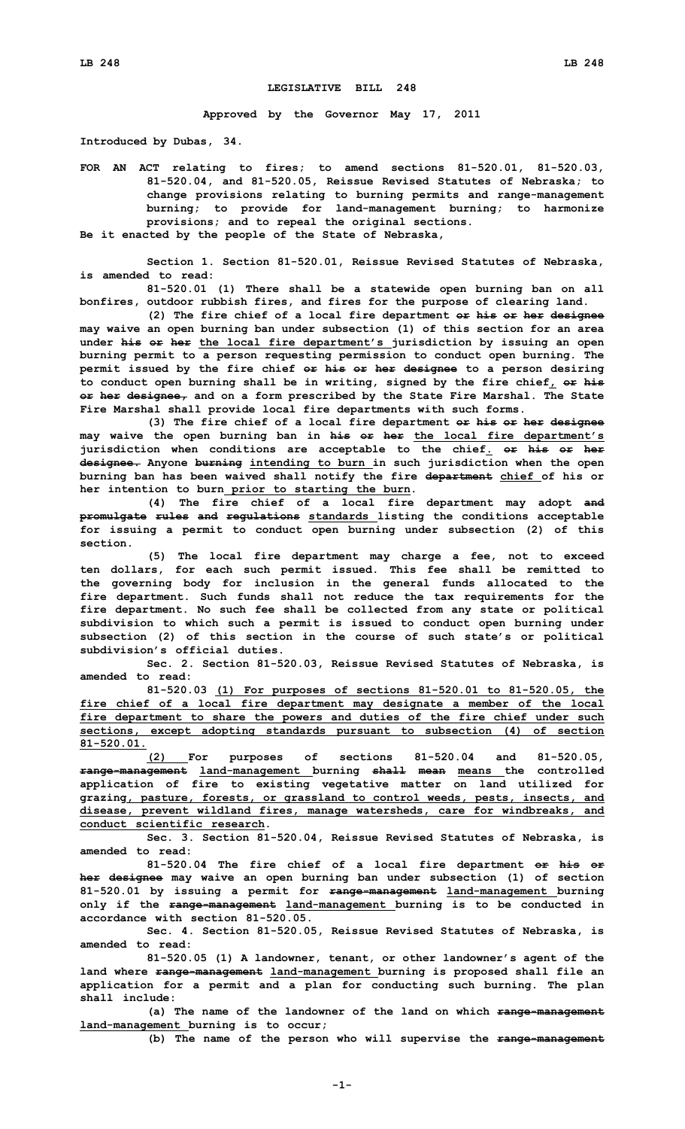## **LEGISLATIVE BILL 248**

**Approved by the Governor May 17, 2011**

**Introduced by Dubas, 34.**

**FOR AN ACT relating to fires; to amend sections 81-520.01, 81-520.03, 81-520.04, and 81-520.05, Reissue Revised Statutes of Nebraska; to change provisions relating to burning permits and range-management burning; to provide for land-management burning; to harmonize provisions; and to repeal the original sections.**

**Be it enacted by the people of the State of Nebraska,**

**Section 1. Section 81-520.01, Reissue Revised Statutes of Nebraska, is amended to read:**

**81-520.01 (1) There shall be <sup>a</sup> statewide open burning ban on all bonfires, outdoor rubbish fires, and fires for the purpose of clearing land.**

**(2) The fire chief of <sup>a</sup> local fire department or his or her designee may waive an open burning ban under subsection (1) of this section for an area under his or her the local fire department's jurisdiction by issuing an open burning permit to <sup>a</sup> person requesting permission to conduct open burning. The permit issued by the fire chief or his or her designee to <sup>a</sup> person desiring to conduct open burning shall be in writing, signed by the fire chief, or his or her designee, and on <sup>a</sup> form prescribed by the State Fire Marshal. The State Fire Marshal shall provide local fire departments with such forms.**

**(3) The fire chief of <sup>a</sup> local fire department or his or her designee may waive the open burning ban in his or her the local fire department's jurisdiction when conditions are acceptable to the chief. or his or her designee. Anyone burning intending to burn in such jurisdiction when the open burning ban has been waived shall notify the fire department chief of his or her intention to burn prior to starting the burn.**

**(4) The fire chief of <sup>a</sup> local fire department may adopt and promulgate rules and regulations standards listing the conditions acceptable for issuing <sup>a</sup> permit to conduct open burning under subsection (2) of this section.**

**(5) The local fire department may charge <sup>a</sup> fee, not to exceed ten dollars, for each such permit issued. This fee shall be remitted to the governing body for inclusion in the general funds allocated to the fire department. Such funds shall not reduce the tax requirements for the fire department. No such fee shall be collected from any state or political subdivision to which such <sup>a</sup> permit is issued to conduct open burning under subsection (2) of this section in the course of such state's or political subdivision's official duties.**

**Sec. 2. Section 81-520.03, Reissue Revised Statutes of Nebraska, is amended to read:**

**81-520.03 (1) For purposes of sections 81-520.01 to 81-520.05, the fire chief of <sup>a</sup> local fire department may designate <sup>a</sup> member of the local fire department to share the powers and duties of the fire chief under such sections, except adopting standards pursuant to subsection (4) of section 81-520.01.**

**(2) For purposes of sections 81-520.04 and 81-520.05, range-management land-management burning shall mean means the controlled application of fire to existing vegetative matter on land utilized for grazing, pasture, forests, or grassland to control weeds, pests, insects, and disease, prevent wildland fires, manage watersheds, care for windbreaks, and conduct scientific research.**

**Sec. 3. Section 81-520.04, Reissue Revised Statutes of Nebraska, is amended to read:**

**81-520.04 The fire chief of <sup>a</sup> local fire department or his or her designee may waive an open burning ban under subsection (1) of section 81-520.01 by issuing <sup>a</sup> permit for range-management land-management burning only if the range-management land-management burning is to be conducted in accordance with section 81-520.05.**

**Sec. 4. Section 81-520.05, Reissue Revised Statutes of Nebraska, is amended to read:**

**81-520.05 (1) <sup>A</sup> landowner, tenant, or other landowner's agent of the land where range-management land-management burning is proposed shall file an application for <sup>a</sup> permit and <sup>a</sup> plan for conducting such burning. The plan shall include:**

**(a) The name of the landowner of the land on which range-management land-management burning is to occur;**

**(b) The name of the person who will supervise the range-management**